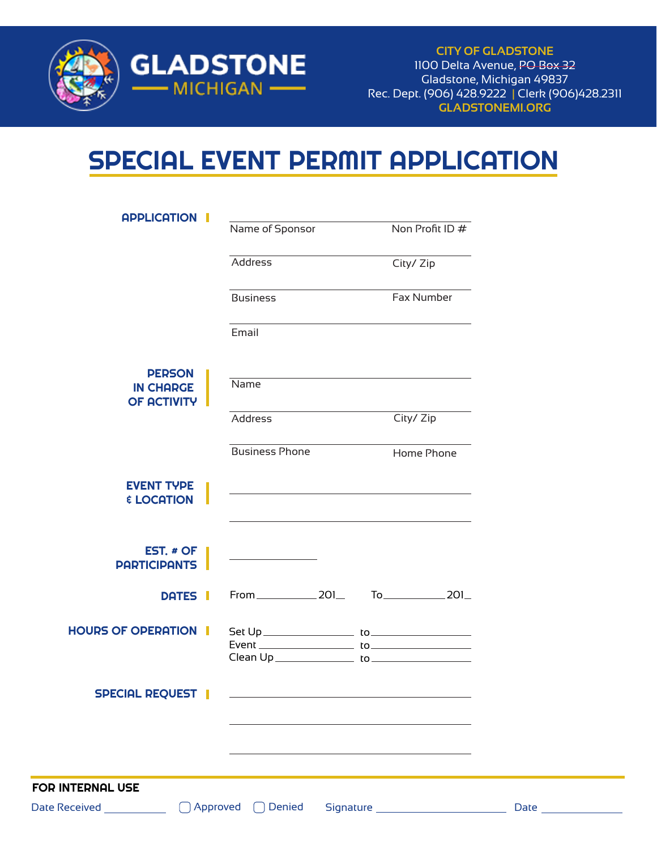

**CITY OF GLADSTONE** 1100 Delta Avenue, PO Box 32 Gladstone, Michigan 49837 Rec. Dept. (906) 428.9222 | Clerk (906)428.2311 **GLADSTONEMI.ORG**

## SPECIAL EVENT PERMIT APPLICATION

| <b>APPLICATION</b>                     | Name of Sponsor                                                                           | Non Profit ID #              |
|----------------------------------------|-------------------------------------------------------------------------------------------|------------------------------|
|                                        | Address                                                                                   | City/ Zip                    |
|                                        | <b>Business</b>                                                                           | Fax Number                   |
|                                        | Email                                                                                     |                              |
| <b>PERSON</b><br><b>IN CHARGE</b>      | Name                                                                                      |                              |
| <b>OF ACTIVITY</b>                     | Address                                                                                   | City/ Zip                    |
|                                        | <b>Business Phone</b>                                                                     | Home Phone                   |
| <b>EVENT TYPE</b><br><b>E LOCATION</b> | the control of the control of the control of the control of the control of the control of |                              |
|                                        |                                                                                           |                              |
| EST. # OF<br><b>PARTICIPANTS</b>       |                                                                                           |                              |
| DATES I                                | From 201                                                                                  | To_____________________201__ |
| <b>HOURS OF OPERATION I</b>            |                                                                                           |                              |
| <b>SPECIAL REQUEST</b>                 |                                                                                           |                              |
|                                        |                                                                                           |                              |
|                                        |                                                                                           |                              |